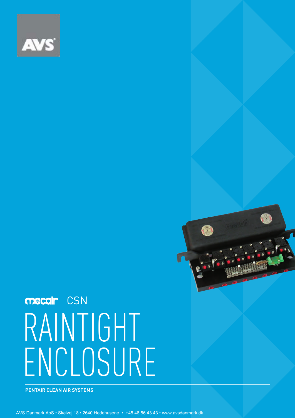

# RAINTIGHT ENCLOSURE mecair CSN

**PENTAIR CLEAN AIR SYSTEMS**

AVS Danmark ApS • Skelvej 18 • 2640 Hedehusene • +45 46 56 43 43 • www.avsdanmark.dk

CSN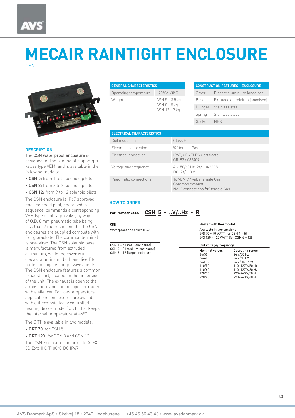### **MECAIR RAINTIGHT ENCLOSURE CSN**



| <b>GENERAL CHARACTERISTICS</b> |                                                         |
|--------------------------------|---------------------------------------------------------|
| Operating temperature          | $-20^{\circ}$ C/+60 $^{\circ}$ C                        |
| Weight                         | $CSN 5 - 3.5 kq$<br>$CSN 8 - 5 kq$<br>$CSN$ 12 – 7 $kg$ |

| <b>CONSTRUCTION FEATURES - ENCLOSURE</b> |                               |  |
|------------------------------------------|-------------------------------|--|
| Cover                                    | Diecast aluminium (anodised)  |  |
| Base                                     | Extruded aluminium (anodised) |  |
| Plunger                                  | Stainless steel               |  |
| Spring                                   | Stainless steel               |  |
| Gaskets                                  | <b>NBR</b>                    |  |
|                                          |                               |  |

#### **DESCRIPTION**

The CSN waterproof enclosure is designed for the piloting of diaphragm valves type VEM, and is available in the following models:

• CSN 5: from 1 to 5 solenoid pilots

- CSN 8: from 6 to 8 solenoid pilots
- CSN 12: from 9 to 12 solenoid pilots

The CSN enclosure is IP67 approved. Each solenoid pilot, energised in sequence, commands a corresponding VEM type diaphragm valve, by way of O.D. 8 mm pneumatic tube being less than 2 metres in length. The CSN enclosures are supplied complete with fixing brackets. The common terminal is pre-wired. The CSN solenoid base is manufactured from extruded aluminium, while the cover is in diecast aluminium, both anodised' for protection against aggressive agents. The CSN enclosure features a common exhaust port, located on the underside of the unit. The exhaust is open to the atmosphere and can be piped or muted with a silencer. For low-temperature applications, enclosures are available with a thermostatically controlled heating device model "GRT" that keeps the internal temperature at +4°C.

The GRT is available in two models:

- GRT 70: for CSN 5
- GRT 120: for CSN 8 and CSN 12.

The CSN Enclosure conforms to ATEX II 3D Extc IIIC T100°C DC IP67.

| <b>ELECTRICAL CHARACTERISTICS</b> |                                                                                     |
|-----------------------------------|-------------------------------------------------------------------------------------|
| Coil insulation                   | Class H                                                                             |
| Electrical connection             | 3/4" female Gas                                                                     |
| Electrical protection             | IP67, CENELEC Certificate<br>GR-93 / 032409                                         |
| Voltage and frequency             | AC: 50/60 Hz: 24/110/220 V<br>DC: 24/110V                                           |
| Pneumatic connections             | To VEM 1/4" valve female Gas<br>Common exhaust<br>No. 2 connections 3/8" female Gas |

#### **HOW TO ORDER**

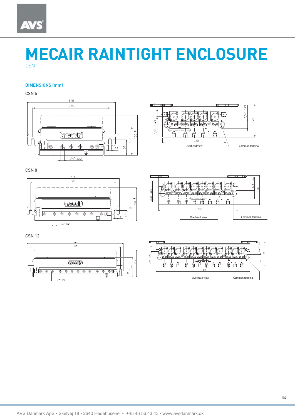## **AVS**

## **MECAIR RAINTIGHT ENCLOSURE CSN**

#### **DIMENSIONS (mm)**

CSN 5



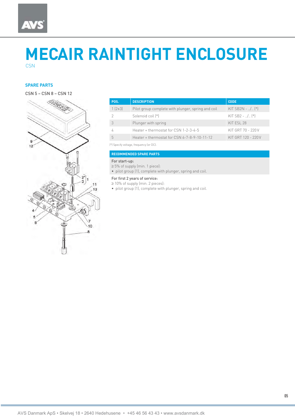### **MECAIR RAINTIGHT ENCLOSURE CSN**

### **SPARE PARTS**

CSN 5 – CSN 8 – CSN 12



| POS.     | <b>DESCRIPTION</b>                                 | <b>CODE</b>             |
|----------|----------------------------------------------------|-------------------------|
| $1(2+3)$ | Pilot group complete with plunger, spring and coil | KIT SB2N - $\ldots$ (*) |
|          | Solenoid coil [*]                                  | KIT SB2 - $\ldots$ (*)  |
|          | Plunger with spring                                | KIT ESL 28              |
|          | Heater + thermostat for CSN 1-2-3-4-5              | KIT GRT 70 - 220 V      |
|          | Heater + thermostat for CSN 6-7-8-9-10-11-12       | KIT GRT 120 - 220 V     |

(\*) Specify voltage, frequency (or DC).

**RECOMMENDED SPARE PARTS**

#### For start-up:

≥ 5% of supply (min. 1 piece):

• pilot group (1), complete with plunger, spring and coil.

For first 2 years of service:

≥ 10% of supply (min. 2 pieces):

• pilot group (1), complete with plunger, spring and coil.